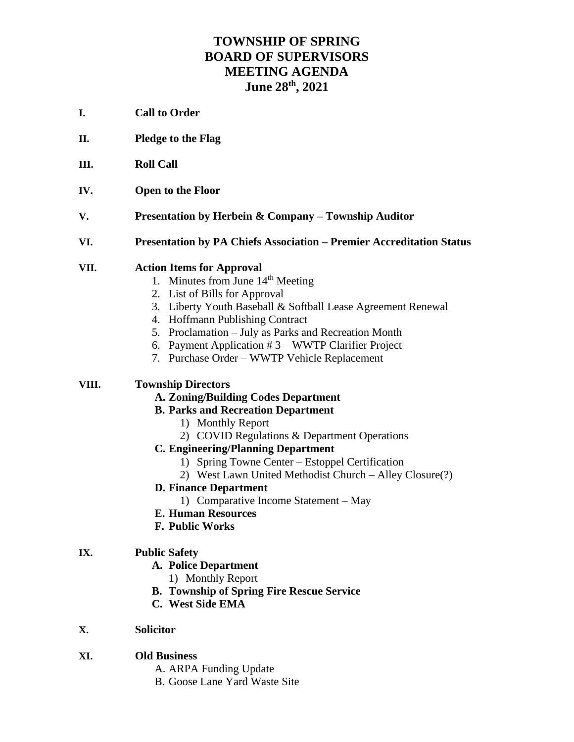# **TOWNSHIP OF SPRING BOARD OF SUPERVISORS MEETING AGENDA June 28th, 2021**

- **I. Call to Order**
- **II. Pledge to the Flag**
- **III. Roll Call**
- **IV. Open to the Floor**
- **V. Presentation by Herbein & Company – Township Auditor**
- **VI. Presentation by PA Chiefs Association – Premier Accreditation Status**

#### **VII. Action Items for Approval**

- 1. Minutes from June  $14<sup>th</sup>$  Meeting
- 2. List of Bills for Approval
- 3. Liberty Youth Baseball & Softball Lease Agreement Renewal
- 4. Hoffmann Publishing Contract
- 5. Proclamation July as Parks and Recreation Month
- 6. Payment Application # 3 WWTP Clarifier Project
- 7. Purchase Order WWTP Vehicle Replacement

#### **VIII. Township Directors**

**A. Zoning/Building Codes Department**

#### **B. Parks and Recreation Department**

- 1) Monthly Report
- 2) COVID Regulations & Department Operations
- **C. Engineering/Planning Department**
	- 1) Spring Towne Center Estoppel Certification
	- 2) West Lawn United Methodist Church Alley Closure(?)
- **D. Finance Department**
	- 1) Comparative Income Statement May
- **E. Human Resources**
- **F. Public Works**

#### **IX. Public Safety**

- **A. Police Department**
	- 1) Monthly Report
- **B. Township of Spring Fire Rescue Service**
- **C. West Side EMA**

### **X. Solicitor**

- **XI. Old Business**
	- A. ARPA Funding Update
	- B. Goose Lane Yard Waste Site